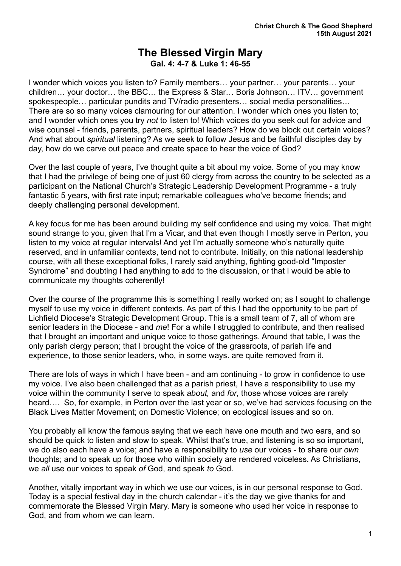## **The Blessed Virgin Mary Gal. 4: 4-7 & Luke 1: 46-55**

I wonder which voices you listen to? Family members… your partner… your parents… your children… your doctor… the BBC… the Express & Star… Boris Johnson… ITV… government spokespeople… particular pundits and TV/radio presenters… social media personalities… There are so so many voices clamouring for our attention. I wonder which ones you listen to; and I wonder which ones you try *not* to listen to! Which voices do you seek out for advice and wise counsel - friends, parents, partners, spiritual leaders? How do we block out certain voices? And what about *spiritual* listening? As we seek to follow Jesus and be faithful disciples day by day, how do we carve out peace and create space to hear the voice of God?

Over the last couple of years, I've thought quite a bit about my voice. Some of you may know that I had the privilege of being one of just 60 clergy from across the country to be selected as a participant on the National Church's Strategic Leadership Development Programme - a truly fantastic 5 years, with first rate input; remarkable colleagues who've become friends; and deeply challenging personal development.

A key focus for me has been around building my self confidence and using my voice. That might sound strange to you, given that I'm a Vicar, and that even though I mostly serve in Perton, you listen to my voice at regular intervals! And yet I'm actually someone who's naturally quite reserved, and in unfamiliar contexts, tend not to contribute. Initially, on this national leadership course, with all these exceptional folks, I rarely said anything, fighting good-old "Imposter Syndrome" and doubting I had anything to add to the discussion, or that I would be able to communicate my thoughts coherently!

Over the course of the programme this is something I really worked on; as I sought to challenge myself to use my voice in different contexts. As part of this I had the opportunity to be part of Lichfield Diocese's Strategic Development Group. This is a small team of 7, all of whom are senior leaders in the Diocese - and *me*! For a while I struggled to contribute, and then realised that I brought an important and unique voice to those gatherings. Around that table, I was the only parish clergy person; that I brought the voice of the grassroots, of parish life and experience, to those senior leaders, who, in some ways. are quite removed from it.

There are lots of ways in which I have been - and am continuing - to grow in confidence to use my voice. I've also been challenged that as a parish priest, I have a responsibility to use my voice within the community I serve to speak *about,* and *for*, those whose voices are rarely heard.... So, for example, in Perton over the last year or so, we've had services focusing on the Black Lives Matter Movement; on Domestic Violence; on ecological issues and so on.

You probably all know the famous saying that we each have one mouth and two ears, and so should be quick to listen and slow to speak. Whilst that's true, and listening is so so important, we do also each have a voice; and have a responsibility to *use* our voices - to share our *own* thoughts; and to speak up for those who within society are rendered voiceless. As Christians, we *all* use our voices to speak *of* God, and speak *to* God.

Another, vitally important way in which we use our voices, is in our personal response to God. Today is a special festival day in the church calendar - it's the day we give thanks for and commemorate the Blessed Virgin Mary. Mary is someone who used her voice in response to God, and from whom we can learn.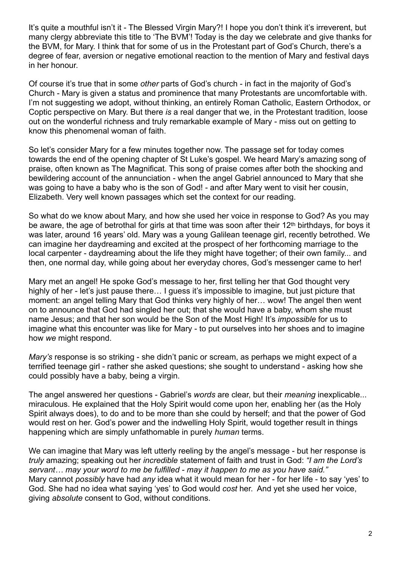It's quite a mouthful isn't it - The Blessed Virgin Mary?! I hope you don't think it's irreverent, but many clergy abbreviate this title to 'The BVM'! Today is the day we celebrate and give thanks for the BVM, for Mary. I think that for some of us in the Protestant part of God's Church, there's a degree of fear, aversion or negative emotional reaction to the mention of Mary and festival days in her honour.

Of course it's true that in some *other* parts of God's church - in fact in the majority of God's Church - Mary is given a status and prominence that many Protestants are uncomfortable with. I'm not suggesting we adopt, without thinking, an entirely Roman Catholic, Eastern Orthodox, or Coptic perspective on Mary. But there *is* a real danger that we, in the Protestant tradition, loose out on the wonderful richness and truly remarkable example of Mary - miss out on getting to know this phenomenal woman of faith.

So let's consider Mary for a few minutes together now. The passage set for today comes towards the end of the opening chapter of St Luke's gospel. We heard Mary's amazing song of praise, often known as The Magnificat. This song of praise comes after both the shocking and bewildering account of the annunciation - when the angel Gabriel announced to Mary that she was going to have a baby who is the son of God! - and after Mary went to visit her cousin, Elizabeth. Very well known passages which set the context for our reading.

So what do we know about Mary, and how she used her voice in response to God? As you may be aware, the age of betrothal for girls at that time was soon after their 12<sup>th</sup> birthdays, for boys it was later, around 16 years' old. Mary was a young Galilean teenage girl, recently betrothed. We can imagine her daydreaming and excited at the prospect of her forthcoming marriage to the local carpenter - daydreaming about the life they might have together; of their own family... and then, one normal day, while going about her everyday chores, God's messenger came to her!

Mary met an angel! He spoke God's message to her, first telling her that God thought very highly of her - let's just pause there… I guess it's impossible to imagine, but just picture that moment: an angel telling Mary that God thinks very highly of her… wow! The angel then went on to announce that God had singled her out; that she would have a baby, whom she must name Jesus; and that her son would be the Son of the Most High! It's *impossible* for us to imagine what this encounter was like for Mary - to put ourselves into her shoes and to imagine how *we* might respond.

*Mary's* response is so striking - she didn't panic or scream, as perhaps we might expect of a terrified teenage girl - rather she asked questions; she sought to understand - asking how she could possibly have a baby, being a virgin.

The angel answered her questions - Gabriel's *words* are clear, but their *meaning* inexplicable... miraculous. He explained that the Holy Spirit would come upon her, enabling her (as the Holy Spirit always does), to do and to be more than she could by herself; and that the power of God would rest on her. God's power and the indwelling Holy Spirit, would together result in things happening which are simply unfathomable in purely *human* terms.

We can imagine that Mary was left utterly reeling by the angel's message - but her response is *truly* amazing; speaking out her *incredible* statement of faith and trust in God: *"I am the Lord's servant… may your word to me be fulfilled - may it happen to me as you have said."* Mary cannot *possibly* have had *any* idea what it would mean for her - for her life - to say 'yes' to God. She had no idea what saying 'yes' to God would *cost* her. And yet she used her voice, giving *absolute* consent to God, without conditions.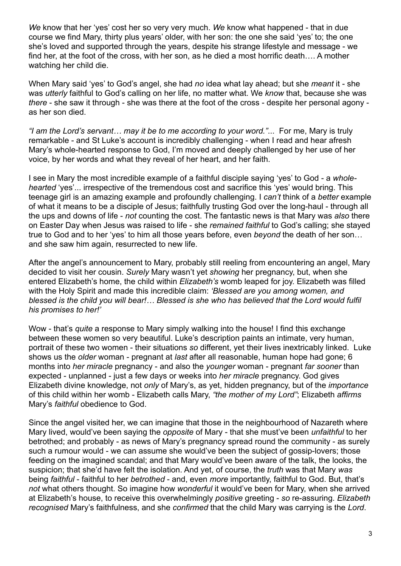*We* know that her 'yes' cost her so very very much. *We* know what happened - that in due course we find Mary, thirty plus years' older, with her son: the one she said 'yes' to; the one she's loved and supported through the years, despite his strange lifestyle and message - we find her, at the foot of the cross, with her son, as he died a most horrific death…. A mother watching her child die.

When Mary said 'yes' to God's angel, she had *no* idea what lay ahead; but she *meant* it - she was *utterly* faithful to God's calling on her life, no matter what. We *know* that, because she was *there* - she saw it through - she was there at the foot of the cross - despite her personal agony as her son died.

*"I am the Lord's servant… may it be to me according to your word."*... For me, Mary is truly remarkable - and St Luke's account is incredibly challenging - when I read and hear afresh Mary's whole-hearted response to God, I'm moved and deeply challenged by her use of her voice, by her words and what they reveal of her heart, and her faith.

I see in Mary the most incredible example of a faithful disciple saying 'yes' to God - a *wholehearted* 'yes'... irrespective of the tremendous cost and sacrifice this 'yes' would bring. This teenage girl is an amazing example and profoundly challenging. I *can't* think of a *better* example of what it means to be a disciple of Jesus; faithfully trusting God over the long-haul - through all the ups and downs of life - *not* counting the cost. The fantastic news is that Mary was *also* there on Easter Day when Jesus was raised to life - she *remained faithful* to God's calling; she stayed true to God and to her 'yes' to him all those years before, even *beyond* the death of her son… and she saw him again, resurrected to new life.

After the angel's announcement to Mary, probably still reeling from encountering an angel, Mary decided to visit her cousin. *Surely* Mary wasn't yet *showing* her pregnancy, but, when she entered Elizabeth's home, the child within *Elizabeth's* womb leaped for joy. Elizabeth was filled with the Holy Spirit and made this incredible claim: *'Blessed are you among women, and blessed is the child you will bear!… Blessed is she who has believed that the Lord would fulfil his promises to her!'*

Wow - that's *quite* a response to Mary simply walking into the house! I find this exchange between these women so very beautiful. Luke's description paints an intimate, very human, portrait of these two women - their situations *so* different, yet their lives inextricably linked. Luke shows us the *older* woman - pregnant at *last* after all reasonable, human hope had gone; 6 months into *her miracle* pregnancy - and also the *younger* woman - pregnant *far sooner* than expected - unplanned - just a few days or weeks into *her miracle* pregnancy. God gives Elizabeth divine knowledge, not *only* of Mary's, as yet, hidden pregnancy, but of the *importance* of this child within her womb - Elizabeth calls Mary, *"the mother of my Lord"*; Elizabeth *affirms* Mary's *faithful* obedience to God.

Since the angel visited her, we can imagine that those in the neighbourhood of Nazareth where Mary lived, would've been saying the *opposite* of Mary - that she must've been *unfaithful* to her betrothed; and probably - as news of Mary's pregnancy spread round the community - as surely such a rumour would - we can assume she would've been the subject of gossip-lovers; those feeding on the imagined scandal; and that Mary would've been aware of the talk, the looks, the suspicion; that she'd have felt the isolation. And yet, of course, the *truth* was that Mary *was* being *faithful* - faithful to her *betrothed* - and, even *more* importantly, faithful to God. But, that's *not* what others thought. So imagine how *wonderful* it would've been for Mary, when she arrived at Elizabeth's house, to receive this overwhelmingly *positive* greeting - *so* re-assuring. *Elizabeth recognised* Mary's faithfulness, and she *confirmed* that the child Mary was carrying is the *Lord*.